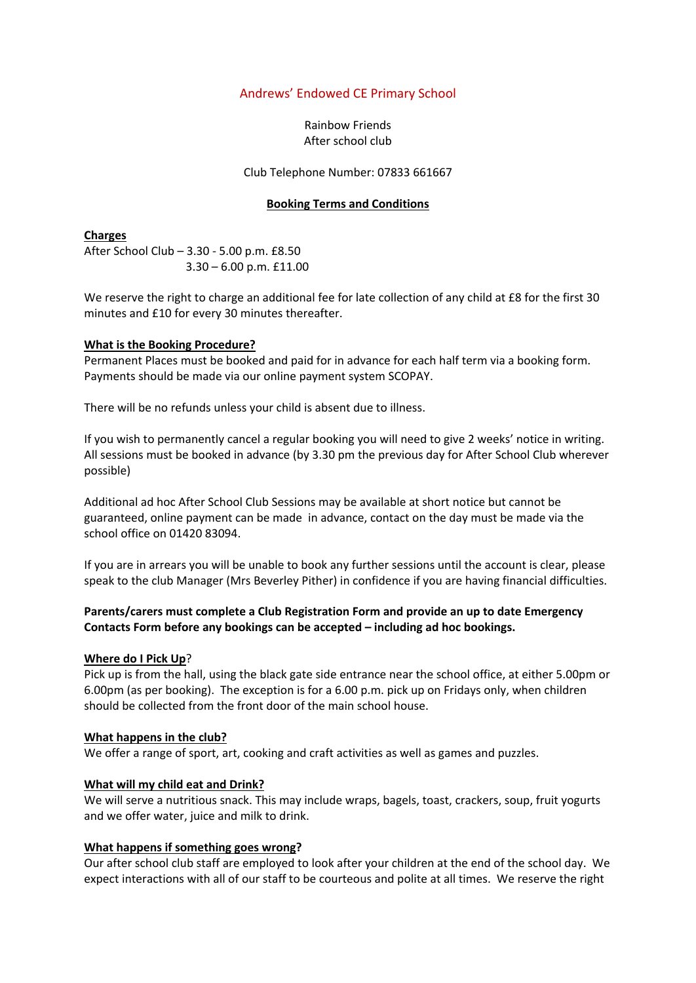# Andrews' Endowed CE Primary School

Rainbow Friends After school club

Club Telephone Number: 07833 661667

#### **Booking Terms and Conditions**

**Charges** After School Club – 3.30 - 5.00 p.m. £8.50 3.30 – 6.00 p.m. £11.00

We reserve the right to charge an additional fee for late collection of any child at £8 for the first 30 minutes and £10 for every 30 minutes thereafter.

### **What is the Booking Procedure?**

Permanent Places must be booked and paid for in advance for each half term via a booking form. Payments should be made via our online payment system SCOPAY.

There will be no refunds unless your child is absent due to illness.

If you wish to permanently cancel a regular booking you will need to give 2 weeks' notice in writing. All sessions must be booked in advance (by 3.30 pm the previous day for After School Club wherever possible)

Additional ad hoc After School Club Sessions may be available at short notice but cannot be guaranteed, online payment can be made in advance, contact on the day must be made via the school office on 01420 83094.

If you are in arrears you will be unable to book any further sessions until the account is clear, please speak to the club Manager (Mrs Beverley Pither) in confidence if you are having financial difficulties.

# **Parents/carers must complete a Club Registration Form and provide an up to date Emergency Contacts Form before any bookings can be accepted – including ad hoc bookings.**

#### **Where do I Pick Up**?

Pick up is from the hall, using the black gate side entrance near the school office, at either 5.00pm or 6.00pm (as per booking). The exception is for a 6.00 p.m. pick up on Fridays only, when children should be collected from the front door of the main school house.

#### **What happens in the club?**

We offer a range of sport, art, cooking and craft activities as well as games and puzzles.

#### **What will my child eat and Drink?**

We will serve a nutritious snack. This may include wraps, bagels, toast, crackers, soup, fruit yogurts and we offer water, juice and milk to drink.

#### **What happens if something goes wrong?**

Our after school club staff are employed to look after your children at the end of the school day. We expect interactions with all of our staff to be courteous and polite at all times. We reserve the right